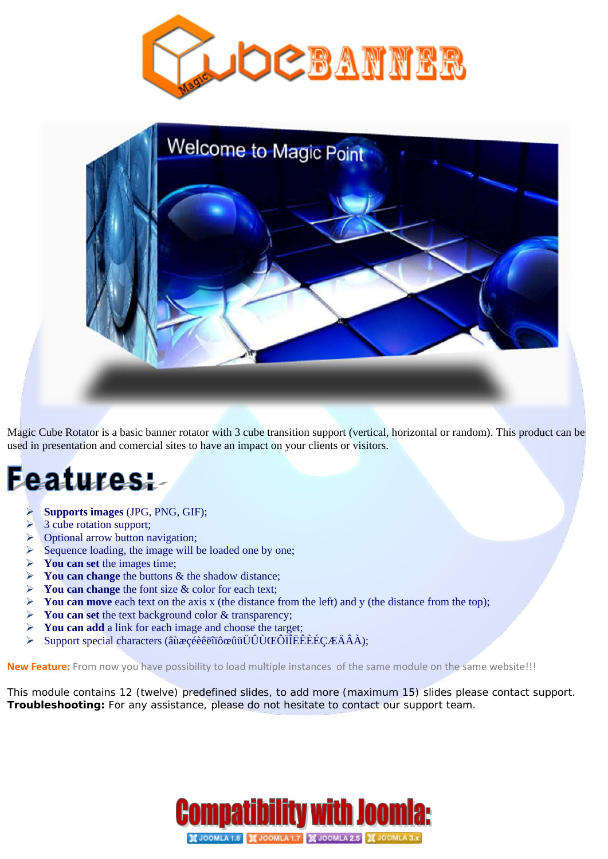



Magic Cube Rotator is a basic banner rotator with 3 cube transition support (vertical, horizontal or random). This product can be used in presentation and comercial sites to have an impact on your clients or visitors.

## **Features:**

- **Supports images** (JPG, PNG, GIF);
- $\geq$  3 cube rotation support;
- Optional arrow button navigation;
- $\triangleright$  Sequence loading, the image will be loaded one by one;
- **You can set** the images time;
- **You can change** the buttons & the shadow distance;
- **You can change** the font size & color for each text;
- **You can move** each text on the axis x (the distance from the left) and y (the distance from the top);
- You can set the text background color & transparency;
- **You can add** a link for each image and choose the target;
- Support special characters (âùæçéèêëîïôœûüÜÛÙŒÔÏÎËÊÈÉÇÆÄÂÀ);

**New Feature:** From now you have possibility to load multiple instances of the same module on the same website!!!

This module contains 12 (twelve) predefined slides, to add more (maximum 15) slides please contact support. **Troubleshooting:** For any assistance, please do not hesitate to contact our support team.

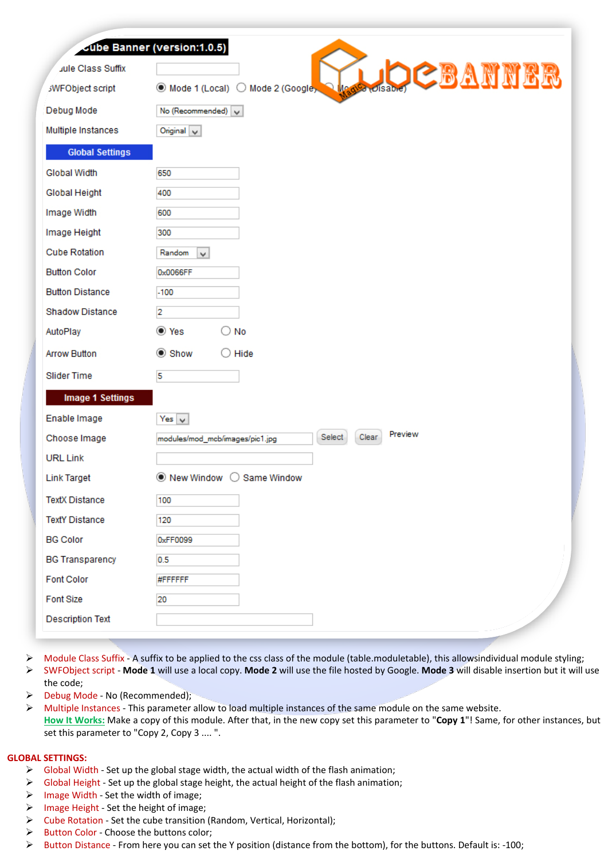| Jule Class Suffix       | Gube Banner (version:1.0.5)                                      |
|-------------------------|------------------------------------------------------------------|
| <b>SWFObject script</b> | <b>OCBANNER</b><br>◉ Mode 1 (Local) ○ Mode 2 (Google)<br>Disable |
| Debug Mode              | No (Recommended) $\sqrt{}$                                       |
| Multiple Instances      | Original $\sqrt{}$                                               |
| <b>Global Settings</b>  |                                                                  |
| <b>Global Width</b>     | 650                                                              |
| Global Height           | 400                                                              |
| Image Width             | 600                                                              |
| Image Height            | 300                                                              |
| <b>Cube Rotation</b>    | Random<br>v                                                      |
| <b>Button Color</b>     | 0x0066FF                                                         |
| <b>Button Distance</b>  | $-100$                                                           |
| <b>Shadow Distance</b>  | 2                                                                |
| AutoPlay                | to Yes<br>No                                                     |
| <b>Arrow Button</b>     | $\odot$ Show<br>$\bigcirc$ Hide                                  |
| <b>Slider Time</b>      | 5                                                                |
| <b>Image 1 Settings</b> |                                                                  |
| Enable Image            | Yes $ $ $\vee$                                                   |
| Choose Image            | Preview<br>Clear<br>Select<br>modules/mod_mcb/images/pic1.jpg    |
| <b>URL Link</b>         |                                                                  |
| <b>Link Target</b>      | ◉ New Window<br>Same Window<br>( )                               |
| <b>TextX Distance</b>   | 100                                                              |
| <b>TextY Distance</b>   | 120                                                              |
| <b>BG Color</b>         | 0xFF0099                                                         |
| <b>BG Transparency</b>  | 0.5                                                              |
| <b>Font Color</b>       | #FFFFFF                                                          |
| <b>Font Size</b>        | 20                                                               |
| <b>Description Text</b> |                                                                  |

- $\triangleright$  Module Class Suffix A suffix to be applied to the css class of the module (table.moduletable), this allowsindividual module styling; SWFObject script - **Mode 1** will use a local copy. **Mode 2** will use the file hosted by Google. **Mode 3** will disable insertion but it will use the code;
- > Debug Mode No (Recommended);
- > Multiple Instances This parameter allow to load multiple instances of the same module on the same website. **How It Works:** Make a copy of this module. After that, in the new copy set this parameter to "**Copy 1**"! Same, for other instances, but set this parameter to "Copy 2, Copy 3 .... ".

## **GLOBAL SETTINGS:**

- $\triangleright$  Global Width Set up the global stage width, the actual width of the flash animation;
- $\triangleright$  Global Height Set up the global stage height, the actual height of the flash animation;
- $\triangleright$  Image Width Set the width of image;
- $\triangleright$  Image Height Set the height of image;
- Cube Rotation Set the cube transition (Random, Vertical, Horizontal);
- $\triangleright$  Button Color Choose the buttons color;
- Button Distance From here you can set the Y position (distance from the bottom), for the buttons. Default is: -100;